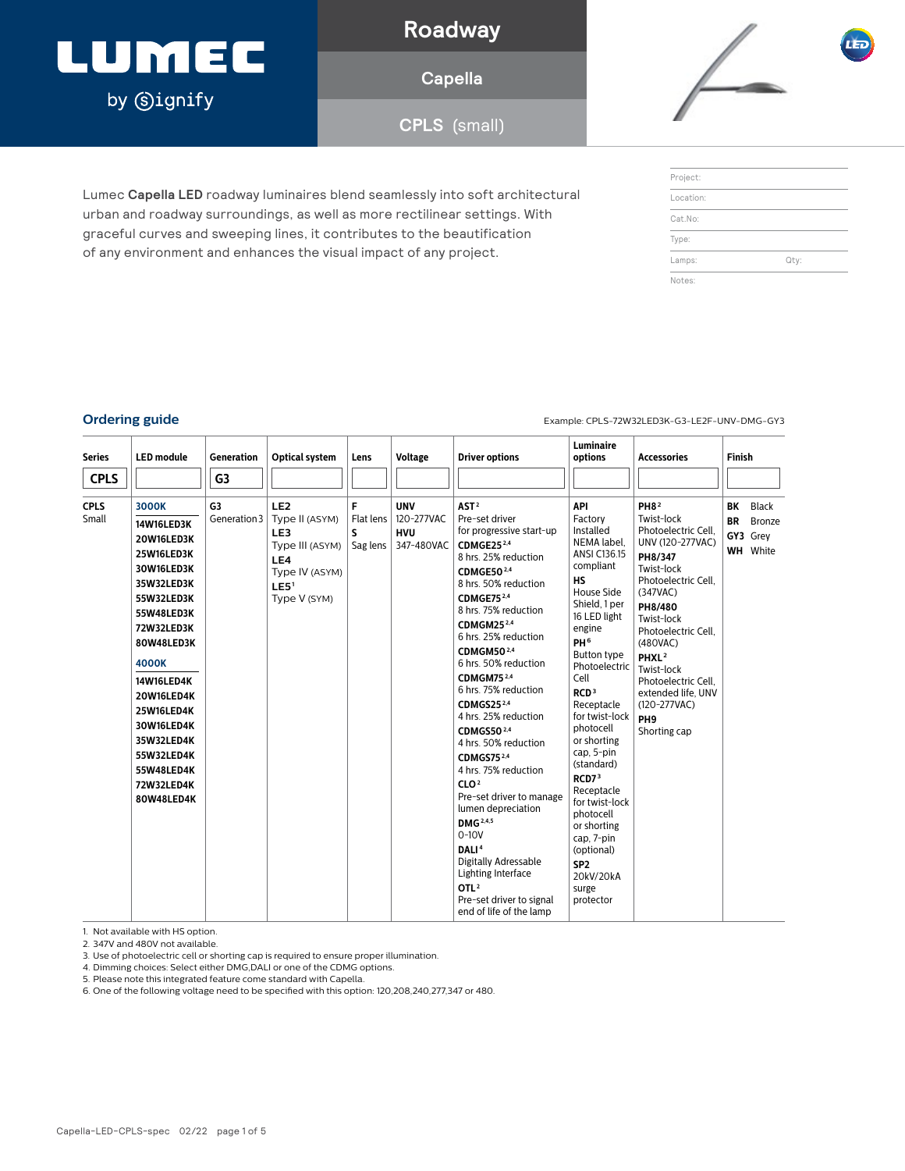## LUMEC by **Signify**

### **Roadway**

**Capella**

**CPLS** (small)

Lumec **Capella LED** roadway luminaires blend seamlessly into soft architectural urban and roadway surroundings, as well as more rectilinear settings. With graceful curves and sweeping lines, it contributes to the beautification of any environment and enhances the visual impact of any project.



| Project:  |      |  |
|-----------|------|--|
| Location: |      |  |
| Cat.No:   |      |  |
| Type:     |      |  |
| Lamps:    | Qty: |  |
| Notes:    |      |  |

**Ordering guide** Example: CPLS-72W32LED3K-G3-LE2F-UNV-DMG-GY3

| <b>Series</b>        | <b>LED</b> module                                                                                                                            | Generation         | <b>Optical system</b>                                                                                                    | Lens                             | <b>Voltage</b>                                       | <b>Driver options</b>                                                                                                                                                                                                                                                                                                                                                                                                                                   | <b>Luminaire</b><br>options                                                                                                                                                                                                                                                              | <b>Accessories</b>                                                                                                                                                                                                     | <b>Finish</b>   |                                                       |
|----------------------|----------------------------------------------------------------------------------------------------------------------------------------------|--------------------|--------------------------------------------------------------------------------------------------------------------------|----------------------------------|------------------------------------------------------|---------------------------------------------------------------------------------------------------------------------------------------------------------------------------------------------------------------------------------------------------------------------------------------------------------------------------------------------------------------------------------------------------------------------------------------------------------|------------------------------------------------------------------------------------------------------------------------------------------------------------------------------------------------------------------------------------------------------------------------------------------|------------------------------------------------------------------------------------------------------------------------------------------------------------------------------------------------------------------------|-----------------|-------------------------------------------------------|
| <b>CPLS</b>          |                                                                                                                                              | G <sub>3</sub>     |                                                                                                                          |                                  |                                                      |                                                                                                                                                                                                                                                                                                                                                                                                                                                         |                                                                                                                                                                                                                                                                                          |                                                                                                                                                                                                                        |                 |                                                       |
| <b>CPLS</b><br>Small | 3000K<br>14W16LED3K<br>20W16LED3K<br>25W16LED3K<br>30W16LED3K<br>35W32LED3K<br>55W32LED3K<br>55W48LED3K<br>72W32LED3K<br>80W48LED3K<br>4000K | G3<br>Generation 3 | LE <sub>2</sub><br>Type II (ASYM)<br>LE3<br>Type III (ASYM)<br>LE4<br>Type IV (ASYM)<br>LE5 <sup>1</sup><br>Type V (SYM) | F<br>Flat lens<br>S.<br>Sag lens | <b>UNV</b><br>120-277VAC<br><b>HVU</b><br>347-480VAC | AST <sup>2</sup><br>Pre-set driver<br>for progressive start-up<br>CDMGE25 <sup>2,4</sup><br>8 hrs. 25% reduction<br>CDMGE50 <sup>2,4</sup><br>8 hrs. 50% reduction<br>CDMGE75 <sup>2,4</sup><br>8 hrs. 75% reduction<br>CDMGM25 <sup>2,4</sup><br>6 hrs. 25% reduction<br>CDMGM50 <sup>2,4</sup><br>6 hrs. 50% reduction                                                                                                                                | API<br>Factory<br>Installed<br>NEMA label,<br><b>ANSI C136.15</b><br>compliant<br><b>HS</b><br>House Side<br>Shield, 1 per<br>16 LED light<br>engine<br>PH <sub>6</sub><br>Button type                                                                                                   | PH8 <sup>2</sup><br>Twist-lock<br>Photoelectric Cell.<br>UNV (120-277VAC)<br>PH8/347<br>Twist-lock<br>Photoelectric Cell.<br>(347VAC)<br>PH8/480<br>Twist-lock<br>Photoelectric Cell.<br>(480VAC)<br>PHXL <sup>2</sup> | BK<br><b>BR</b> | <b>Black</b><br>Bronze<br>GY3 Grey<br><b>WH</b> White |
|                      | 14W16LED4K<br>20W16LED4K<br>25W16LED4K<br>30W16LED4K<br>35W32LED4K<br>55W32LED4K<br>55W48LED4K<br>72W32LED4K<br>80W48LED4K                   |                    |                                                                                                                          |                                  |                                                      | CDMGM75 <sup>2,4</sup><br>6 hrs. 75% reduction<br>CDMGS25 <sup>2,4</sup><br>4 hrs. 25% reduction<br>CDMGS50 <sup>2,4</sup><br>4 hrs. 50% reduction<br>CDMGS75 <sup>2,4</sup><br>4 hrs. 75% reduction<br>CLO <sup>2</sup><br>Pre-set driver to manage<br>lumen depreciation<br><b>DMG</b> 2,4,5<br>$0-10V$<br>DALI <sup>4</sup><br>Digitally Adressable<br>Lighting Interface<br>OTL <sup>2</sup><br>Pre-set driver to signal<br>end of life of the lamp | Photoelectric<br>Cell<br>RCD <sup>3</sup><br>Receptacle<br>for twist-lock<br>photocell<br>or shorting<br>cap, 5-pin<br>(standard)<br>RCD73<br>Receptacle<br>for twist-lock<br>photocell<br>or shorting<br>cap, 7-pin<br>(optional)<br>SP <sub>2</sub><br>20kV/20kA<br>surge<br>protector | Twist-lock<br>Photoelectric Cell.<br>extended life, UNV<br>$(120-277VAC)$<br>PH <sub>9</sub><br>Shorting cap                                                                                                           |                 |                                                       |

1. Not available with HS option.

2. 347V and 480V not available.

3. Use of photoelectric cell or shorting cap is required to ensure proper illumination.

4. Dimming choices: Select either DMG,DALI or one of the CDMG options.

5. Please note this integrated feature come standard with Capella.

6. One of the following voltage need to be specified with this option: 120,208,240,277,347 or 480.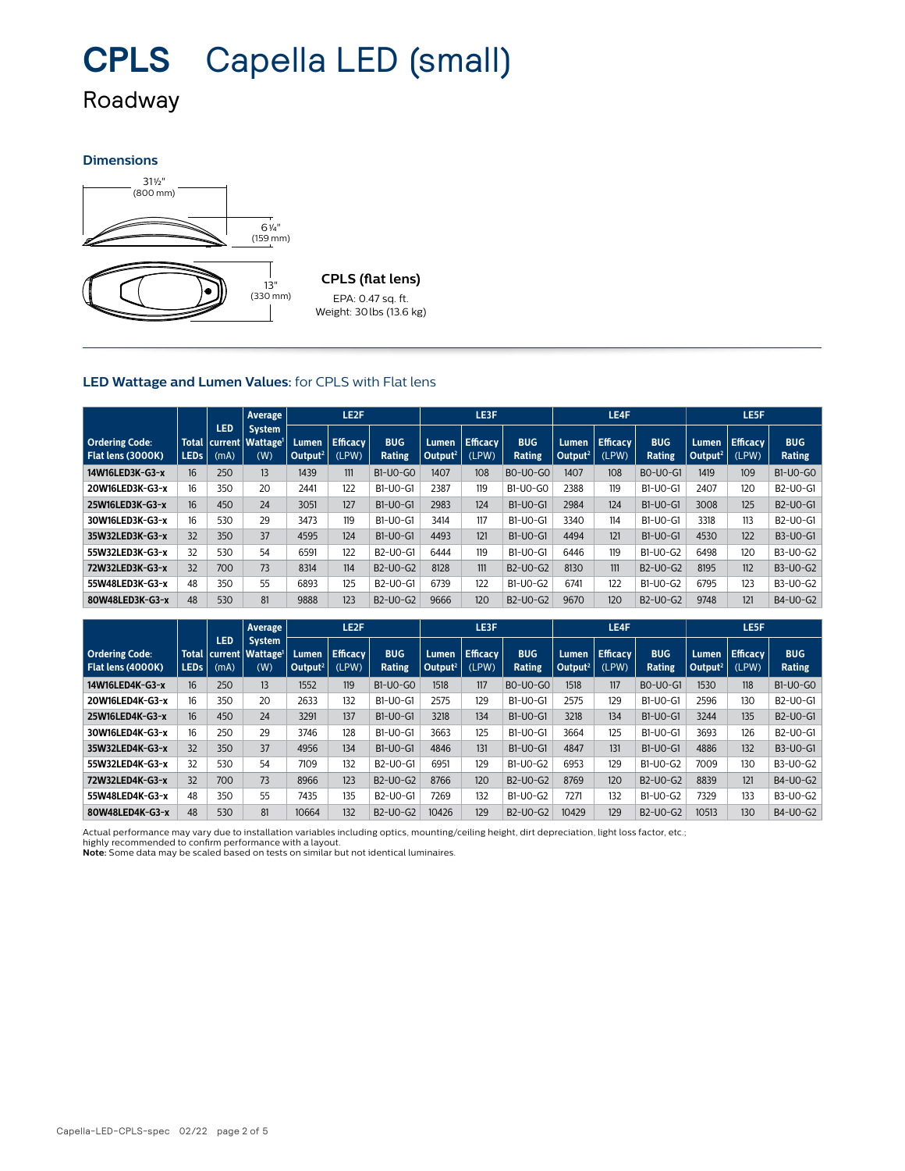# **CPLS** Capella LED (small)

### Roadway

#### **Dimensions**



### EPA: 0.47 sq. ft. Weight: 30lbs (13.6 kg)

#### **LED Wattage and Lumen Values:** for CPLS with Flat lens

|                                            |                  |                    | Average                                                          | LE <sub>2</sub> F             |                          |                             |                                     | LE3F                     |                             |                              | LE4F                     |                      |                              | LE5F                     |                                                |  |  |
|--------------------------------------------|------------------|--------------------|------------------------------------------------------------------|-------------------------------|--------------------------|-----------------------------|-------------------------------------|--------------------------|-----------------------------|------------------------------|--------------------------|----------------------|------------------------------|--------------------------|------------------------------------------------|--|--|
| <b>Ordering Code:</b><br>Flat lens (3000K) | <b>LEDs</b>      | <b>LED</b><br>(mA) | <b>System</b><br>Total   current   Wattage <sup>1</sup>  <br>(W) | Lumen.<br>Output <sup>2</sup> | <b>Efficacy</b><br>(LPW) | <b>BUG</b><br><b>Rating</b> | <b>Lumen</b><br>Output <sup>2</sup> | <b>Efficacy</b><br>(LPW) | <b>BUG</b><br><b>Rating</b> | Lumen<br>Output <sup>2</sup> | <b>Efficacy</b><br>(LPW) | <b>BUG</b><br>Rating | Lumen<br>Output <sup>2</sup> | <b>Efficacy</b><br>(LPW) | <b>BUG</b><br>Rating                           |  |  |
| 14W16LED3K-G3-x                            | 16               | 250                | 13                                                               | 1439                          | 111                      | <b>B1-U0-G0</b>             | 1407                                | 108                      | <b>BO-UO-GO</b>             | 1407                         | 108                      | BO-UO-G1             | 1419                         | 109                      | B1-U0-G0                                       |  |  |
| 20W16LED3K-G3-x                            | 16               | 350                | 20                                                               | 2441                          | 122                      | B1-U0-G1                    | 2387                                | 119                      | <b>B1-U0-G0</b>             | 2388                         | 119                      | B1-U0-G1             | 2407                         | 120                      | B2-U0-G1                                       |  |  |
| 25W16LED3K-G3-x                            | 16 <sup>16</sup> | 450                | 24                                                               | 3051                          | 127                      | B1-U0-G1                    | 2983                                | 124                      | $B1-UO-G1$                  | 2984                         | 124                      | $B1-UO-G1$           | 3008                         | 125                      | B <sub>2</sub> -U <sub>0</sub> -G <sub>1</sub> |  |  |
| 30W16LED3K-G3-x                            | 16 <sup>16</sup> | 530                | 29                                                               | 3473                          | 119                      | B1-U0-G1                    | 3414                                | 117                      | B1-U0-G1                    | 3340                         | 114                      | B1-U0-G1             | 3318                         | 113                      | B2-U0-G1                                       |  |  |
| 35W32LED3K-G3-x                            | 32               | 350                | 37                                                               | 4595                          | 124                      | $B1-UO-G1$                  | 4493                                | 121                      | $B1-UO-G1$                  | 4494                         | 121                      | $B1-UO-G1$           | 4530                         | 122                      | B3-U0-G1                                       |  |  |
| 55W32LED3K-G3-x                            | 32               | 530                | 54                                                               | 6591                          | 122                      | B2-U0-G1                    | 6444                                | 119                      | B1-U0-G1                    | 6446                         | 119                      | B1-U0-G2             | 6498                         | 120                      | B3-U0-G2                                       |  |  |
| 72W32LED3K-G3-x                            | 32               | 700                | 73                                                               | 8314                          | 114                      | B2-U0-G2                    | 8128                                | 111                      | B2-U0-G2                    | 8130                         | 111                      | B2-U0-G2             | 8195                         | 112                      | B3-U0-G2                                       |  |  |
| 55W48LED3K-G3-x                            | 48               | 350                | 55                                                               | 6893                          | 125                      | B2-U0-G1                    | 6739                                | 122                      | B1-U0-G2                    | 6741                         | 122                      | B1-U0-G2             | 6795                         | 123                      | B3-U0-G2                                       |  |  |
| 80W48LED3K-G3-x                            | 48               | 530                | 81                                                               | 9888                          | 123                      | B2-U0-G2                    | 9666                                | 120                      | B2-U0-G2                    | 9670                         | 120                      | B2-U0-G2             | 9748                         | 121                      | B4-U0-G2                                       |  |  |

|                                            |                  |                    | <b>Average</b>                                                   | LE2F                         |                          |                             | LE3F                         |                          |                             | LE4F                         |                          |                      | LE5F                         |                          |                                                |
|--------------------------------------------|------------------|--------------------|------------------------------------------------------------------|------------------------------|--------------------------|-----------------------------|------------------------------|--------------------------|-----------------------------|------------------------------|--------------------------|----------------------|------------------------------|--------------------------|------------------------------------------------|
| <b>Ordering Code:</b><br>Flat lens (4000K) | LED <sub>s</sub> | <b>LED</b><br>(mA) | <b>System</b><br>Total   current   Wattage <sup>1</sup>  <br>(W) | Lumen<br>Output <sup>2</sup> | <b>Efficacy</b><br>(LPW) | <b>BUG</b><br><b>Rating</b> | Lumen<br>Output <sup>2</sup> | <b>Efficacy</b><br>(LPW) | <b>BUG</b><br><b>Rating</b> | Lumen<br>Output <sup>2</sup> | <b>Efficacy</b><br>(LPW) | <b>BUG</b><br>Rating | Lumen<br>Output <sup>2</sup> | <b>Efficacy</b><br>(LPW) | <b>BUG</b><br>Rating                           |
| 14W16LED4K-G3-x                            | 16 <sup>°</sup>  | 250                | 13                                                               | 1552                         | 119                      | <b>B1-U0-G0</b>             | 1518                         | 117                      | <b>BO-UO-GO</b>             | 1518                         | 117                      | BO-UO-G1             | 1530                         | 118                      | B1-U0-G0                                       |
| 20W16LED4K-G3-x                            | 16               | 350                | 20                                                               | 2633                         | 132                      | B1-U0-G1                    | 2575                         | 129                      | B1-U0-G1                    | 2575                         | 129                      | B1-U0-G1             | 2596                         | 130                      | B2-U0-G1                                       |
| 25W16LED4K-G3-x                            | 16               | 450                | 24                                                               | 3291                         | 137                      | B1-U0-G1                    | 3218                         | 134                      | <b>B1-U0-G1</b>             | 3218                         | 134                      | B1-U0-G1             | 3244                         | 135                      | B <sub>2</sub> -U <sub>0</sub> -G <sub>1</sub> |
| 30W16LED4K-G3-x                            | 16               | 250                | 29                                                               | 3746                         | 128                      | B1-U0-G1                    | 3663                         | 125                      | B1-U0-G1                    | 3664                         | 125                      | B1-U0-G1             | 3693                         | 126                      | B2-U0-G1                                       |
| 35W32LED4K-G3-x                            | 32               | 350                | 37                                                               | 4956                         | 134                      | B1-U0-G1                    | 4846                         | 131                      | <b>B1-U0-G1</b>             | 4847                         | 131                      | <b>B1-U0-G1</b>      | 4886                         | 132                      | B3-U0-G1                                       |
| 55W32LED4K-G3-x                            | 32               | 530                | 54                                                               | 7109                         | 132                      | B2-U0-G1                    | 6951                         | 129                      | B1-U0-G2                    | 6953                         | 129                      | B1-U0-G2             | 7009                         | 130                      | B3-U0-G2                                       |
| 72W32LED4K-G3-x                            | 32               | 700                | 73                                                               | 8966                         | 123                      | B2-U0-G2                    | 8766                         | 120                      | B2-U0-G2                    | 8769                         | 120                      | B2-U0-G2             | 8839                         | 121                      | B4-U0-G2                                       |
| 55W48LED4K-G3-x                            | 48               | 350                | 55                                                               | 7435                         | 135                      | B2-U0-G1                    | 7269                         | 132                      | B1-U0-G2                    | 7271                         | 132                      | B1-U0-G2             | 7329                         | 133                      | B3-U0-G2                                       |
| 80W48LED4K-G3-x                            | 48               | 530                | 81                                                               | 10664                        | 132                      | B2-U0-G2                    | 10426                        | 129                      | B2-U0-G2                    | 10429                        | 129                      | B2-U0-G2             | 10513                        | 130                      | B4-U0-G2                                       |

Actual performance may vary due to installation variables including optics, mounting/ceiling height, dirt depreciation, light loss factor, etc.;

highly recommended to confirm performance with a layout. **Note:** Some data may be scaled based on tests on similar but not identical luminaires.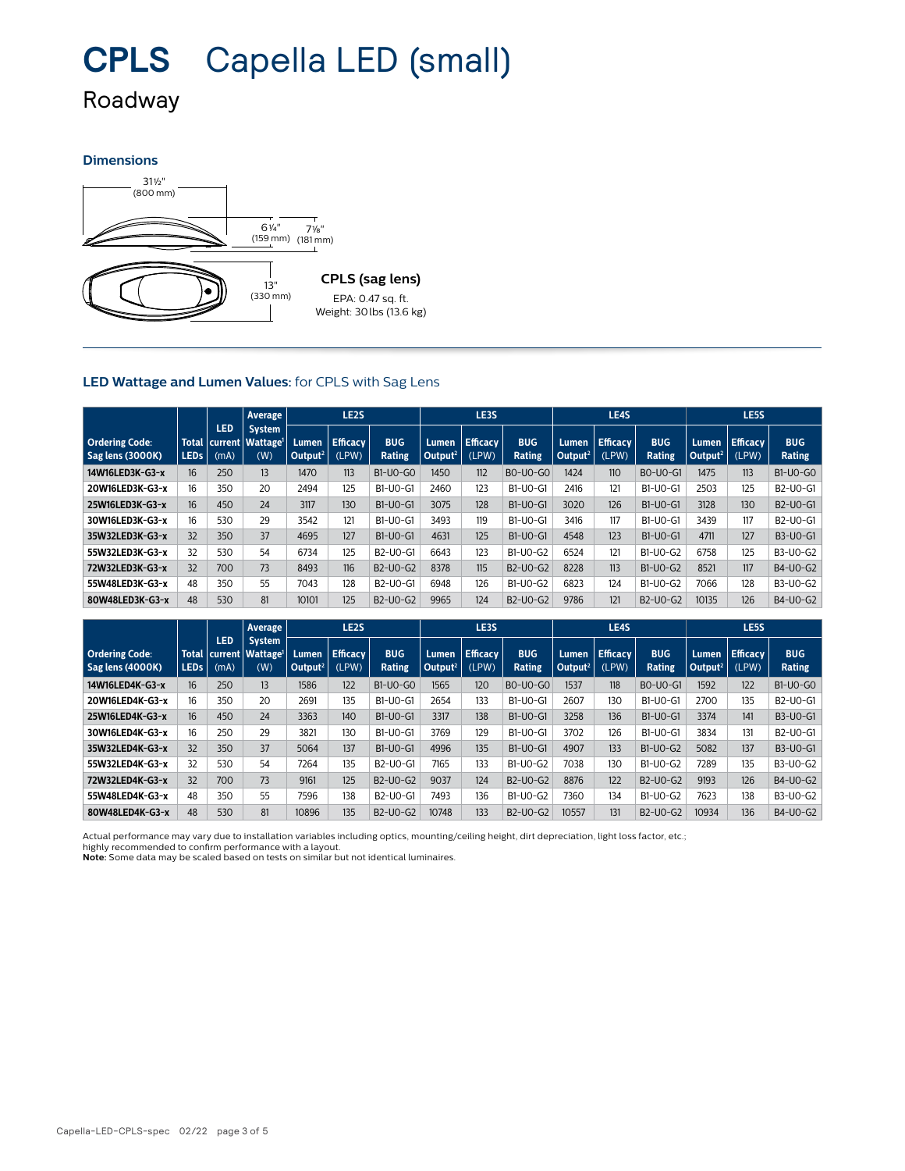## **CPLS** Capella LED (small)

### Roadway

#### **Dimensions**



#### **LED Wattage and Lumen Values:** for CPLS with Sag Lens

|                                           |                  |                                     | LE <sub>2</sub> S<br><b>Average</b>          |                              |                          |                                    | LE3S                         |                          |                             | LE4S                                |                      |                             | LE5S                           |                          |                                                |
|-------------------------------------------|------------------|-------------------------------------|----------------------------------------------|------------------------------|--------------------------|------------------------------------|------------------------------|--------------------------|-----------------------------|-------------------------------------|----------------------|-----------------------------|--------------------------------|--------------------------|------------------------------------------------|
| <b>Ordering Code:</b><br>Sag lens (3000K) | <b>LEDs</b>      | <b>LED</b><br>Total current<br>(mA) | <b>System</b><br>Wattage <sup>1</sup><br>(W) | Lumen<br>Output <sup>2</sup> | <b>Efficacy</b><br>(LPW) | <b>BUG</b><br><b>Rating</b>        | Lumen<br>Output <sup>2</sup> | <b>Efficacy</b><br>(LPW) | <b>BUG</b><br><b>Rating</b> | <b>Lumen</b><br>Output <sup>2</sup> | $E$ fficacy<br>(LPW) | <b>BUG</b><br><b>Rating</b> | Lumen .<br>Output <sup>2</sup> | <b>Efficacy</b><br>(LPW) | <b>BUG</b><br><b>Rating</b>                    |
| 14W16LED3K-G3-x                           | 16 <sup>16</sup> | 250                                 | 13                                           | 1470                         | 113                      | <b>B1-U0-G0</b>                    | 1450                         | 112                      | <b>BO-UO-GO</b>             | 1424                                | 110                  | <b>BO-UO-G1</b>             | 1475                           | 113                      | B1-U0-G0                                       |
| 20W16LED3K-G3-x                           | 16               | 350                                 | 20                                           | 2494                         | 125                      | B1-U0-G1                           | 2460                         | 123                      | B1-U0-G1                    | 2416                                | 121                  | B1-U0-G1                    | 2503                           | 125                      | B2-U0-G1                                       |
| 25W16LED3K-G3-x                           | 16 <sup>16</sup> | 450                                 | 24                                           | 3117                         | 130                      | B1-U0-G1                           | 3075                         | 128                      | <b>B1-U0-G1</b>             | 3020                                | 126                  | <b>B1-U0-G1</b>             | 3128                           | 130                      | B2-U0-G1                                       |
| 30W16LED3K-G3-x                           | 16               | 530                                 | 29                                           | 3542                         | 121                      | B1-U0-G1                           | 3493                         | 119                      | B1-U0-G1                    | 3416                                | 117                  | B1-U0-G1                    | 3439                           | 117                      | B <sub>2</sub> -U <sub>0</sub> -G <sub>1</sub> |
| 35W32LED3K-G3-x                           | 32               | 350                                 | 37                                           | 4695                         | 127                      | B1-U0-G1                           | 4631                         | 125                      | <b>B1-U0-G1</b>             | 4548                                | 123                  | <b>B1-U0-G1</b>             | 4711                           | 127                      | B3-U0-G1                                       |
| 55W32LED3K-G3-x                           | 32               | 530                                 | 54                                           | 6734                         | 125                      | B2-U0-G1                           | 6643                         | 123                      | B1-U0-G2                    | 6524                                | 121                  | B1-U0-G2                    | 6758                           | 125                      | B3-U0-G2                                       |
| 72W32LED3K-G3-x                           | 32               | 700                                 | 73                                           | 8493                         | 116                      | $B2-UO-G2$                         | 8378                         | 115                      | $B2-UO-G2$                  | 8228                                | 113                  | $B1-UO-G2$                  | 8521                           | 117                      | B4-U0-G2                                       |
| 55W48LED3K-G3-x                           | 48               | 350                                 | 55                                           | 7043                         | 128                      | B <sub>2</sub> -U <sub>0</sub> -G1 | 6948                         | 126                      | $B1-UO-G2$                  | 6823                                | 124                  | $B1-UO-G2$                  | 7066                           | 128                      | B3-U0-G2                                       |
| 80W48LED3K-G3-x                           | 48               | 530                                 | 81                                           | 10101                        | 125                      | B2-U0-G2                           | 9965                         | 124                      | B2-U0-G2                    | 9786                                | 121                  | B2-U0-G2                    | 10135                          | 126                      | B4-U0-G2                                       |

|                                           |                  |                    | Average                                                      | LE <sub>2</sub> S                            |                          |                             |                     | LE3S                      |                             |                              | LE4S                     |                      |                                     | LE5S                     |                      |  |
|-------------------------------------------|------------------|--------------------|--------------------------------------------------------------|----------------------------------------------|--------------------------|-----------------------------|---------------------|---------------------------|-----------------------------|------------------------------|--------------------------|----------------------|-------------------------------------|--------------------------|----------------------|--|
| <b>Ordering Code:</b><br>Sag lens (4000K) | LED <sub>s</sub> | <b>LED</b><br>(mA) | <b>System</b><br>Total current   Wattage <sup>1</sup><br>(W) | Lumen<br>$\vert$ Output <sup>2</sup> $\vert$ | <b>Efficacy</b><br>(LPW) | <b>BUG</b><br><b>Rating</b> | Output <sup>2</sup> | Lumen   Efficacy<br>(LPW) | <b>BUG</b><br><b>Rating</b> | Lumen<br>Output <sup>2</sup> | <b>Efficacy</b><br>(LPW) | <b>BUG</b><br>Rating | <b>Lumen</b><br>Output <sup>2</sup> | <b>Efficacy</b><br>(LPW) | <b>BUG</b><br>Rating |  |
| 14W16LED4K-G3-x                           | 16               | 250                | 13                                                           | 1586                                         | 122                      | <b>B1-U0-G0</b>             | 1565                | 120                       | <b>BO-UO-GO</b>             | 1537                         | 118                      | BO-UO-G1             | 1592                                | 122                      | B1-U0-G0             |  |
| 20W16LED4K-G3-x                           | 16               | 350                | 20                                                           | 2691                                         | 135                      | B1-U0-G1                    | 2654                | 133                       | B1-U0-G1                    | 2607                         | 130                      | B1-U0-G1             | 2700                                | 135                      | B2-U0-G1             |  |
| 25W16LED4K-G3-x                           | 16               | 450                | 24                                                           | 3363                                         | 140                      | B1-U0-G1                    | 3317                | 138                       | <b>B1-U0-G1</b>             | 3258                         | 136                      | <b>B1-U0-G1</b>      | 3374                                | 141                      | B3-U0-G1             |  |
| 30W16LED4K-G3-x                           | 16               | 250                | 29                                                           | 3821                                         | 130                      | B1-U0-G1                    | 3769                | 129                       | B1-U0-G1                    | 3702                         | 126                      | B1-U0-G1             | 3834                                | 131                      | B2-U0-G1             |  |
| 35W32LED4K-G3-x                           | 32               | 350                | 37                                                           | 5064                                         | 137                      | B1-U0-G1                    | 4996                | 135                       | <b>B1-U0-G1</b>             | 4907                         | 133                      | B1-U0-G2             | 5082                                | 137                      | B3-U0-G1             |  |
| 55W32LED4K-G3-x                           | 32               | 530                | 54                                                           | 7264                                         | 135                      | B2-U0-G1                    | 7165                | 133                       | B1-U0-G2                    | 7038                         | 130                      | B1-U0-G2             | 7289                                | 135                      | B3-U0-G2             |  |
| 72W32LED4K-G3-x                           | 32               | 700                | 73                                                           | 9161                                         | 125                      | B2-U0-G2                    | 9037                | 124                       | B2-U0-G2                    | 8876                         | 122                      | B2-U0-G2             | 9193                                | 126                      | B4-U0-G2             |  |
| 55W48LED4K-G3-x                           | 48               | 350                | 55                                                           | 7596                                         | 138                      | B2-U0-G1                    | 7493                | 136                       | B1-U0-G2                    | 7360                         | 134                      | B1-U0-G2             | 7623                                | 138                      | B3-U0-G2             |  |
| 80W48LED4K-G3-x                           | 48               | 530                | 81                                                           | 10896                                        | 135                      | B2-U0-G2                    | 10748               | 133                       | B2-U0-G2                    | 10557                        | 131                      | B2-U0-G2             | 10934                               | 136                      | B4-U0-G2             |  |

Actual performance may vary due to installation variables including optics, mounting/ceiling height, dirt depreciation, light loss factor, etc.;

highly recommended to confirm performance with a layout. **Note:** Some data may be scaled based on tests on similar but not identical luminaires.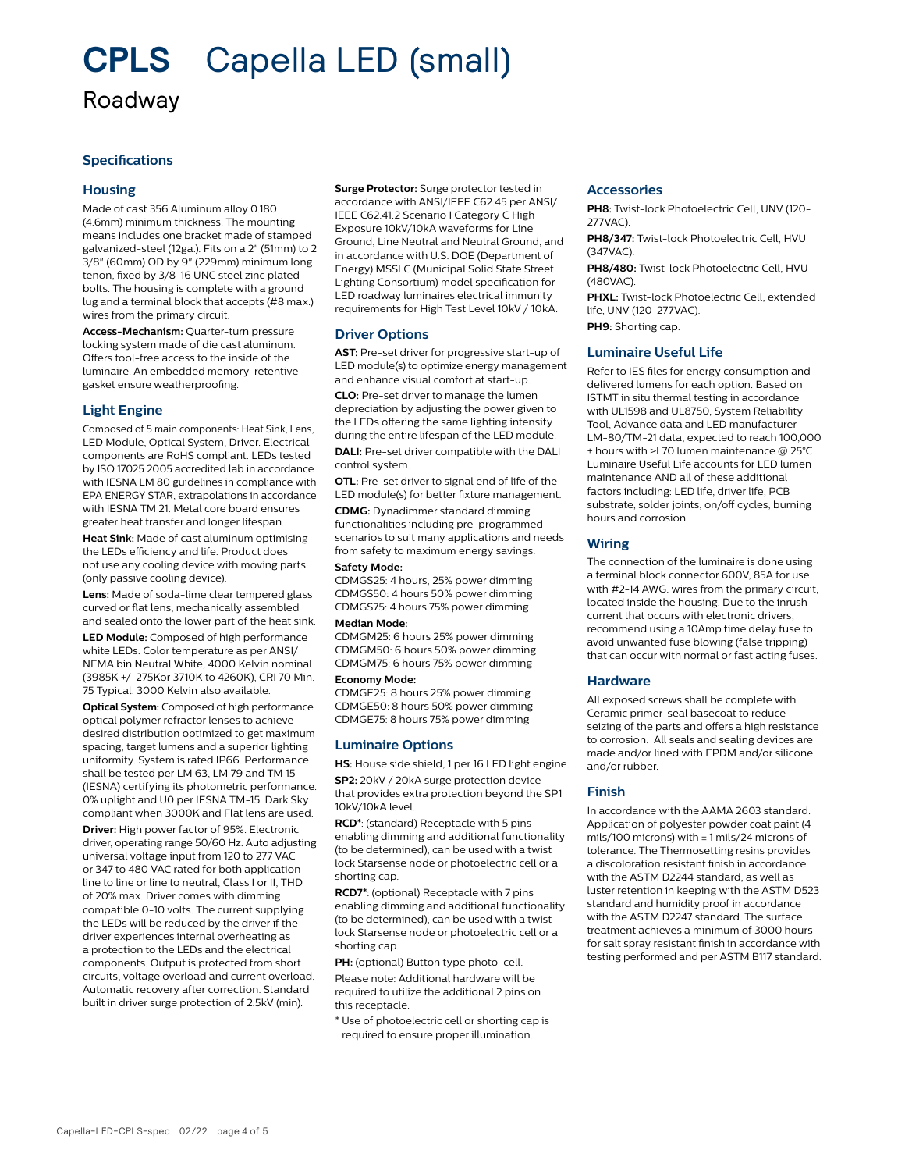### **CPLS** Capella LED (small) Roadway

#### **Specifications**

#### **Housing**

Made of cast 356 Aluminum alloy 0.180 (4.6mm) minimum thickness. The mounting means includes one bracket made of stamped galvanized-steel (12ga.). Fits on a 2" (51mm) to 2 3/8" (60mm) OD by 9" (229mm) minimum long tenon, fixed by 3/8-16 UNC steel zinc plated bolts. The housing is complete with a ground lug and a terminal block that accepts (#8 max.) wires from the primary circuit.

**Access-Mechanism:** Quarter-turn pressure locking system made of die cast aluminum. Offers tool-free access to the inside of the luminaire. An embedded memory-retentive gasket ensure weatherproofing.

#### **Light Engine**

Composed of 5 main components: Heat Sink, Lens, LED Module, Optical System, Driver. Electrical components are RoHS compliant. LEDs tested by ISO 17025 2005 accredited lab in accordance with IESNA LM 80 guidelines in compliance with EPA ENERGY STAR, extrapolations in accordance with IESNA TM 21. Metal core board ensures greater heat transfer and longer lifespan.

**Heat Sink:** Made of cast aluminum optimising the LEDs efficiency and life. Product does not use any cooling device with moving parts (only passive cooling device).

**Lens:** Made of soda-lime clear tempered glass curved or flat lens, mechanically assembled and sealed onto the lower part of the heat sink.

**LED Module:** Composed of high performance white LEDs. Color temperature as per ANSI/ NEMA bin Neutral White, 4000 Kelvin nominal (3985K +/ 275Kor 3710K to 4260K), CRI 70 Min. 75 Typical. 3000 Kelvin also available.

**Optical System:** Composed of high performance optical polymer refractor lenses to achieve desired distribution optimized to get maximum spacing, target lumens and a superior lighting uniformity. System is rated IP66. Performance shall be tested per LM 63, LM 79 and TM 15 (IESNA) certifying its photometric performance. 0% uplight and U0 per IESNA TM-15. Dark Sky compliant when 3000K and Flat lens are used.

**Driver:** High power factor of 95%. Electronic driver, operating range 50/60 Hz. Auto adjusting universal voltage input from 120 to 277 VAC or 347 to 480 VAC rated for both application line to line or line to neutral, Class I or II, THD of 20% max. Driver comes with dimming compatible 0-10 volts. The current supplying the LEDs will be reduced by the driver if the driver experiences internal overheating as a protection to the LEDs and the electrical components. Output is protected from short circuits, voltage overload and current overload. Automatic recovery after correction. Standard built in driver surge protection of 2.5kV (min).

**Surge Protector:** Surge protector tested in accordance with ANSI/IEEE C62.45 per ANSI/ IEEE C62.41.2 Scenario I Category C High Exposure 10kV/10kA waveforms for Line Ground, Line Neutral and Neutral Ground, and in accordance with U.S. DOE (Department of Energy) MSSLC (Municipal Solid State Street Lighting Consortium) model specification for LED roadway luminaires electrical immunity requirements for High Test Level 10kV / 10kA.

#### **Driver Options**

**AST:** Pre-set driver for progressive start-up of LED module(s) to optimize energy management and enhance visual comfort at start-up.

**CLO:** Pre-set driver to manage the lumen depreciation by adjusting the power given to the LEDs offering the same lighting intensity during the entire lifespan of the LED module.

**DALI:** Pre-set driver compatible with the DALI control system.

**OTL:** Pre-set driver to signal end of life of the LED module(s) for better fixture management. **CDMG:** Dynadimmer standard dimming functionalities including pre-programmed scenarios to suit many applications and needs from safety to maximum energy savings.

#### **Safety Mode:**

CDMGS25: 4 hours, 25% power dimming CDMGS50: 4 hours 50% power dimming CDMGS75: 4 hours 75% power dimming

#### **Median Mode:**

CDMGM25: 6 hours 25% power dimming CDMGM50: 6 hours 50% power dimming CDMGM75: 6 hours 75% power dimming

#### **Economy Mode:**

CDMGE25: 8 hours 25% power dimming CDMGE50: 8 hours 50% power dimming CDMGE75: 8 hours 75% power dimming

#### **Luminaire Options**

**HS:** House side shield, 1 per 16 LED light engine.

**SP2:** 20kV / 20kA surge protection device that provides extra protection beyond the SP1 10kV/10kA level.

**RCD\***: (standard) Receptacle with 5 pins enabling dimming and additional functionality (to be determined), can be used with a twist lock Starsense node or photoelectric cell or a shorting cap.

**RCD7\***: (optional) Receptacle with 7 pins enabling dimming and additional functionality (to be determined), can be used with a twist lock Starsense node or photoelectric cell or a shorting cap.

**PH:** (optional) Button type photo-cell. Please note: Additional hardware will be required to utilize the additional 2 pins on this receptacle.

\* Use of photoelectric cell or shorting cap is required to ensure proper illumination.

#### **Accessories**

**PH8:** Twist-lock Photoelectric Cell, UNV (120- 277VAC).

**PH8/347:** Twist-lock Photoelectric Cell, HVU (347VAC).

**PH8/480:** Twist-lock Photoelectric Cell, HVU (480VAC).

**PHXL:** Twist-lock Photoelectric Cell, extended life, UNV (120-277VAC).

**PH9:** Shorting cap.

#### **Luminaire Useful Life**

Refer to IES files for energy consumption and delivered lumens for each option. Based on ISTMT in situ thermal testing in accordance with UL1598 and UL8750, System Reliability Tool, Advance data and LED manufacturer LM-80/TM-21 data, expected to reach 100,000 + hours with >L70 lumen maintenance @ 25°C. Luminaire Useful Life accounts for LED lumen maintenance AND all of these additional factors including: LED life, driver life, PCB substrate, solder joints, on/off cycles, burning hours and corrosion.

#### **Wiring**

The connection of the luminaire is done using a terminal block connector 600V, 85A for use with #2-14 AWG. wires from the primary circuit, located inside the housing. Due to the inrush current that occurs with electronic drivers, recommend using a 10Amp time delay fuse to avoid unwanted fuse blowing (false tripping) that can occur with normal or fast acting fuses.

#### **Hardware**

All exposed screws shall be complete with Ceramic primer-seal basecoat to reduce seizing of the parts and offers a high resistance to corrosion. All seals and sealing devices are made and/or lined with EPDM and/or silicone and/or rubber.

#### **Finish**

In accordance with the AAMA 2603 standard. Application of polyester powder coat paint (4 mils/100 microns) with  $\pm$  1 mils/24 microns of tolerance. The Thermosetting resins provides a discoloration resistant finish in accordance with the ASTM D2244 standard, as well as luster retention in keeping with the ASTM D523 standard and humidity proof in accordance with the ASTM D2247 standard. The surface treatment achieves a minimum of 3000 hours for salt spray resistant finish in accordance with testing performed and per ASTM B117 standard.